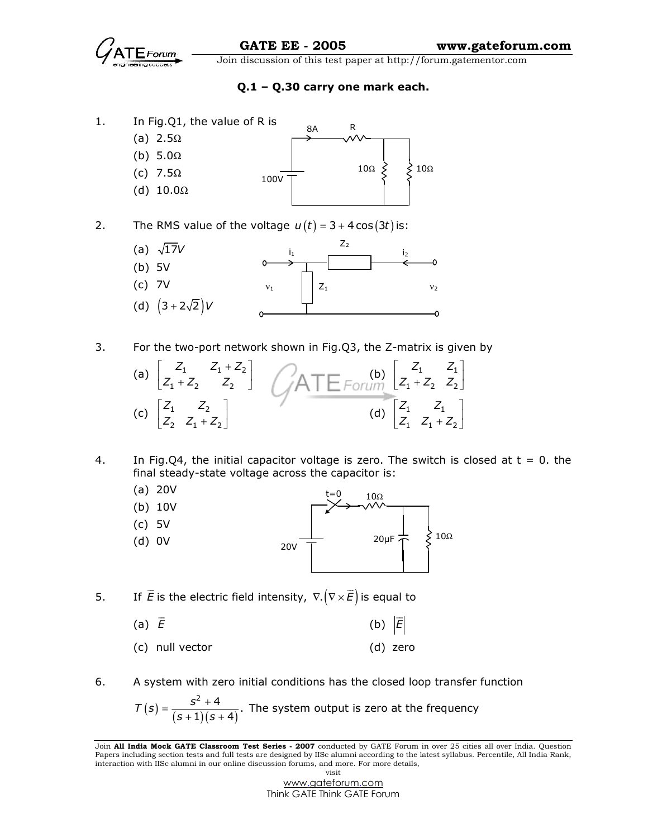

Q.1 – Q.30 carry one mark each.



2. The RMS value of the voltage  $u(t) = 3 + 4 \cos(3t)$  is:



3. For the two-port network shown in Fig.Q3, the Z-matrix is given by



- 4. In Fig.Q4, the initial capacitor voltage is zero. The switch is closed at  $t = 0$ . the final steady-state voltage across the capacitor is:
	- (a) 20V
	- (b) 10V (c) 5V t=0 10Ω
	- (d) 0V  $20 \mu F \stackrel{L}{\leftarrow} \leftarrow$  20 $\Omega$ 20V
- 5. If E  $\overline{\phantom{a}}$ is the electric field intensity,  $\nabla .(\nabla \!\times\! E)$  .  $\overline{\phantom{a}}$ is equal to

(a) 
$$
\vec{E}
$$
 (b)  $|\vec{E}|$ 

- (c) null vector (d) zero
- 6. A system with zero initial conditions has the closed loop transfer function

$$
T(s) = \frac{s^2 + 4}{(s+1)(s+4)}
$$
. The system output is zero at the frequency

Join All India Mock GATE Classroom Test Series - 2007 conducted by GATE Forum in over 25 cities all over India. Question Papers including section tests and full tests are designed by IISc alumni according to the latest syllabus. Percentile, All India Rank, interaction with IISc alumni in our online discussion forums, and more. For more details, visit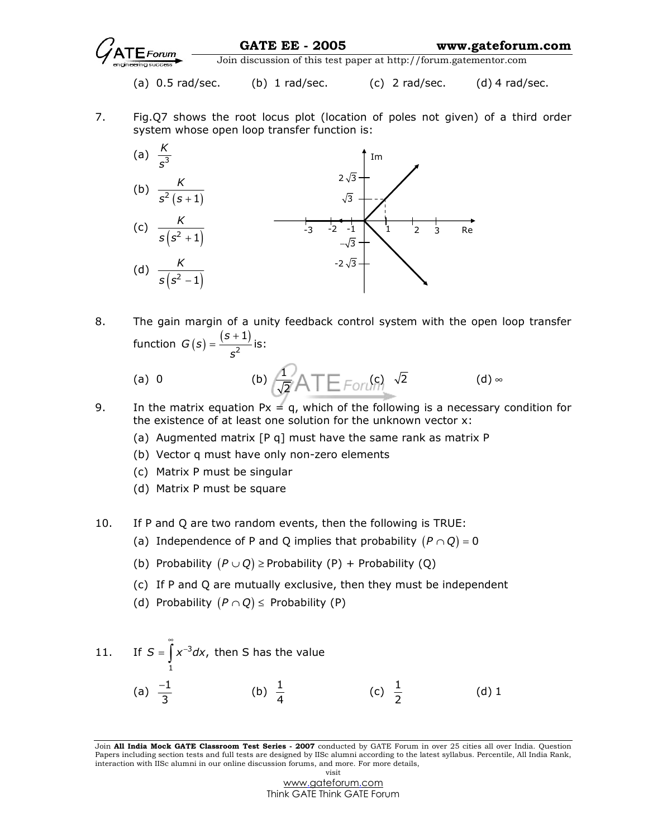

GATE EE - 2005 www.gateforum.com

Join discussion of this test paper at http://forum.gatementor.com

- (a)  $0.5$  rad/sec. (b)  $1$  rad/sec. (c)  $2$  rad/sec. (d)  $4$  rad/sec.
- 7. Fig.Q7 shows the root locus plot (location of poles not given) of a third order system whose open loop transfer function is:



8. The gain margin of a unity feedback control system with the open loop transfer function  $G(s) = \frac{(s+1)^2}{s^2}$  $G(s) = \frac{(s+1)}{2}$ s  $=\frac{(s+1)}{2}$  is:

(a) 0 (b) 
$$
\frac{1}{\sqrt{2}}ATE_{FOT}(\rho)
$$
  $\sqrt{2}$  (d)  $\infty$ 

- 9. In the matrix equation  $Px = q$ , which of the following is a necessary condition for the existence of at least one solution for the unknown vector x:
	- (a) Augmented matrix [P q] must have the same rank as matrix P
	- (b) Vector q must have only non-zero elements
	- (c) Matrix P must be singular
	- (d) Matrix P must be square
- 10. If P and Q are two random events, then the following is TRUE:
	- (a) Independence of P and Q implies that probability  $(P \cap Q) = 0$
	- (b) Probability  $(P \cup Q) \geq$  Probability (P) + Probability (Q)
	- (c) If P and Q are mutually exclusive, then they must be independent
	- (d) Probability  $(P \cap Q) \le$  Probability (P)

11. If 
$$
S = \int_{1}^{\infty} x^{-3} dx
$$
, then S has the value  
\n(a)  $\frac{-1}{3}$  (b)  $\frac{1}{4}$  (c)  $\frac{1}{2}$  (d) 1

Join All India Mock GATE Classroom Test Series - 2007 conducted by GATE Forum in over 25 cities all over India. Question Papers including section tests and full tests are designed by IISc alumni according to the latest syllabus. Percentile, All India Rank, interaction with IISc alumni in our online discussion forums, and more. For more details, visit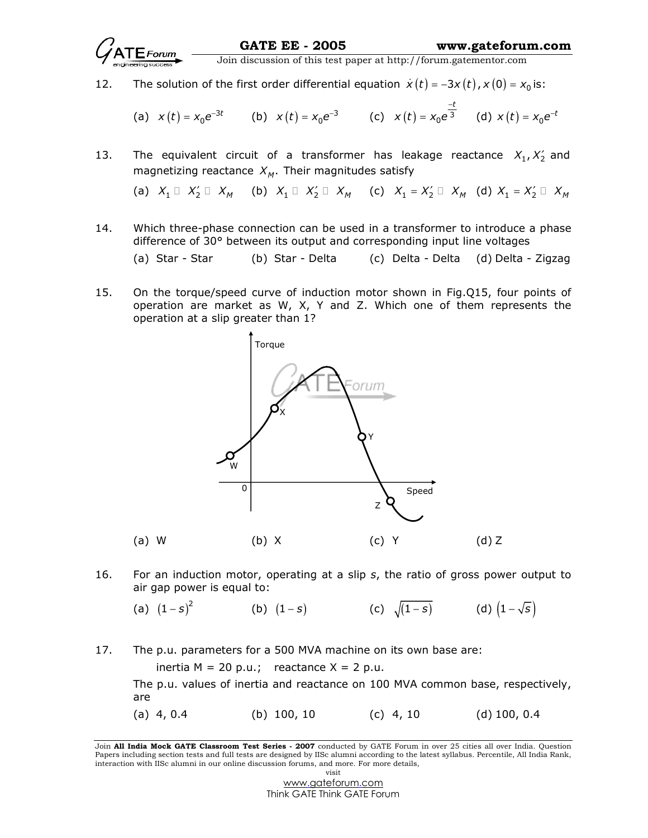

12. The solution of the first order differential equation  $\dot{x}(t) = -3x(t)$ ,  $x(0) = x_0$  is:

(a) 
$$
x(t) = x_0 e^{-3t}
$$
 (b)  $x(t) = x_0 e^{-3}$  (c)  $x(t) = x_0 e^{\frac{-t}{3}}$  (d)  $x(t) = x_0 e^{-t}$ 

13. The equivalent circuit of a transformer has leakage reactance  $X_1, X_2'$  and magnetizing reactance  $X_M$ . Their magnitudes satisfy

(a) 
$$
X_1
$$
  $X'_2$   $X_M$  (b)  $X_1$   $X'_2$   $X_M$  (c)  $X_1 = X'_2$   $X_M$  (d)  $X_1 = X'_2$   $X_M$ 

14. Which three-phase connection can be used in a transformer to introduce a phase difference of 30° between its output and corresponding input line voltages

(a) Star - Star (b) Star - Delta (c) Delta - Delta (d) Delta - Zigzag

15. On the torque/speed curve of induction motor shown in Fig.Q15, four points of operation are market as W, X, Y and Z. Which one of them represents the operation at a slip greater than 1?



16. For an induction motor, operating at a slip  $s$ , the ratio of gross power output to air gap power is equal to:

(a) 
$$
(1-s)^2
$$
 (b)  $(1-s)$  (c)  $\sqrt{(1-s)}$  (d)  $(1-\sqrt{s})$ 

17. The p.u. parameters for a 500 MVA machine on its own base are:

inertia  $M = 20$  p.u.; reactance  $X = 2$  p.u.

The p.u. values of inertia and reactance on 100 MVA common base, respectively, are

(a)  $4, 0.4$  (b)  $100, 10$  (c)  $4, 10$  (d)  $100, 0.4$ 

Join All India Mock GATE Classroom Test Series - 2007 conducted by GATE Forum in over 25 cities all over India. Question Papers including section tests and full tests are designed by IISc alumni according to the latest syllabus. Percentile, All India Rank, interaction with IISc alumni in our online discussion forums, and more. For more details, visit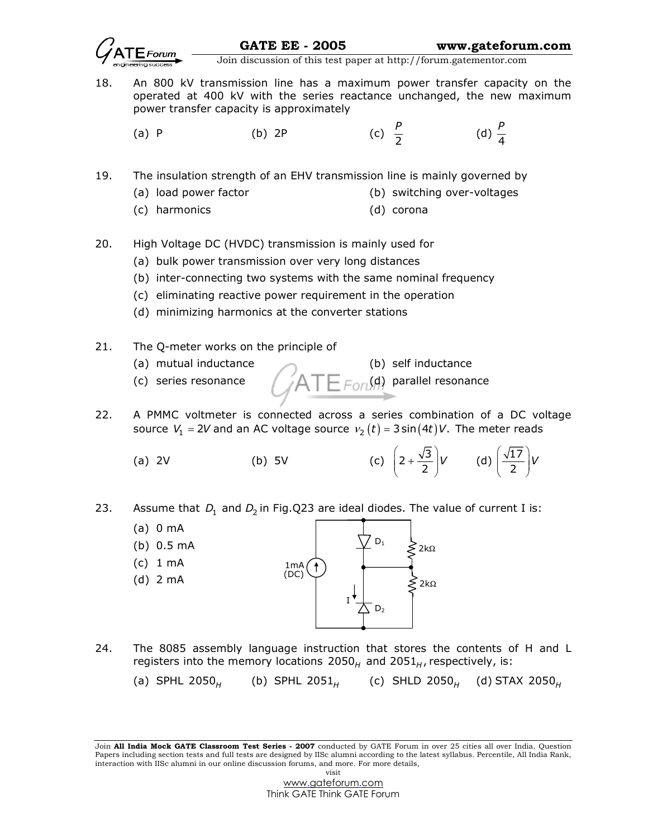

18. An 800 kV transmission line has a maximum power transfer capacity on the operated at 400 kV with the series reactance unchanged, the new maximum power transfer capacity is approximately

(a) P (b)  $2P$ 2 P (d)  $\frac{1}{4}$ P

19. The insulation strength of an EHV transmission line is mainly governed by

- (a) load power factor (b) switching over-voltages
	- (c) harmonics (d) corona
- 20. High Voltage DC (HVDC) transmission is mainly used for
	- (a) bulk power transmission over very long distances
	- (b) inter-connecting two systems with the same nominal frequency
	- (c) eliminating reactive power requirement in the operation
	- (d) minimizing harmonics at the converter stations
- 21. The Q-meter works on the principle of
	-
	-



- 22. A PMMC voltmeter is connected across a series combination of a DC voltage source  $V_1$  = 2V and an AC voltage source  $v_2(t)$  = 3 sin $(4t)$ V. The meter reads
- (a) 2V (b) 5V (c)  $\left(2+\frac{\sqrt{3}}{2}\right)V$  $(2)$ (d)  $\left(\frac{\sqrt{17}}{2}\right)$ V  $\left(\frac{\sqrt{17}}{2}\right)$
- 23. Assume that  $D_1$  and  $D_2$  in Fig.Q23 are ideal diodes. The value of current I is:



24. The 8085 assembly language instruction that stores the contents of H and L registers into the memory locations  $2050<sub>H</sub>$  and  $2051<sub>H</sub>$ , respectively, is:

(a) SPHL 2050 $_{\rm H}$   $\,$  (b) SPHL 2051 $_{\rm H}$   $\,$  (c) SHLD 2050 $_{\rm H}$  (d) STAX 2050 $_{\rm H}$ 

Join All India Mock GATE Classroom Test Series - 2007 conducted by GATE Forum in over 25 cities all over India. Question Papers including section tests and full tests are designed by IISc alumni according to the latest syllabus. Percentile, All India Rank, interaction with IISc alumni in our online discussion forums, and more. For more details, visit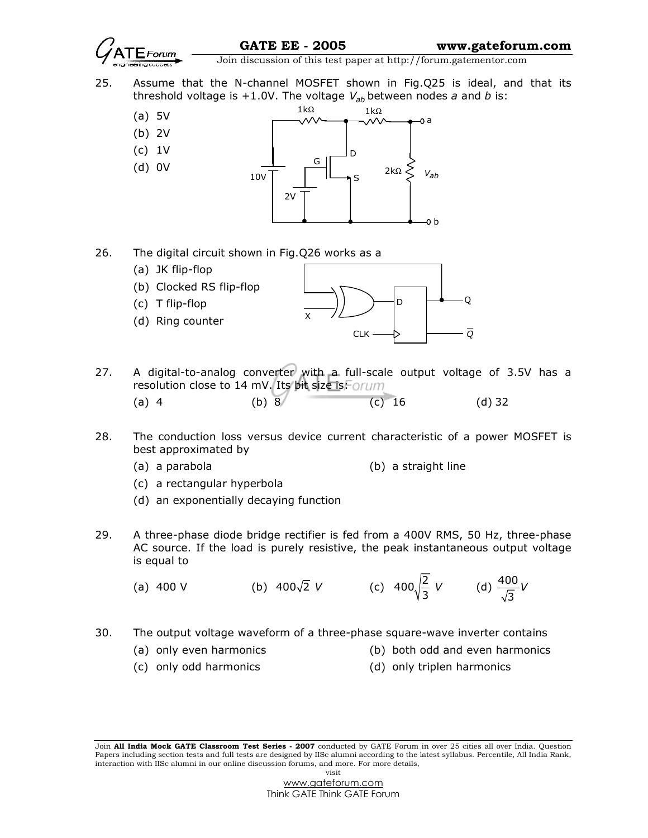

25. Assume that the N-channel MOSFET shown in Fig.Q25 is ideal, and that its threshold voltage is +1.0V. The voltage  $V_{ab}$  between nodes a and b is:<br> $V_{ab} = V_{ab}$ 



26. The digital circuit shown in Fig.Q26 works as a

- (a) JK flip-flop
- (b) Clocked RS flip-flop
- (c) T flip-flop





- 27. A digital-to-analog converter with a full-scale output voltage of 3.5V has a resolution close to 14 mV. Its bit size is Forum
- (a) 4 (b) 8 (c) 16 (d) 32

X

- 28. The conduction loss versus device current characteristic of a power MOSFET is best approximated by
	-
	- (a) a parabola (b) a straight line
	- (c) a rectangular hyperbola
	- (d) an exponentially decaying function
- 29. A three-phase diode bridge rectifier is fed from a 400V RMS, 50 Hz, three-phase AC source. If the load is purely resistive, the peak instantaneous output voltage is equal to
- (a) 400 V (b) 400 $\sqrt{2}$  V (c) 400 $\sqrt{\frac{2}{3}}$  V (d)  $\frac{400}{\sqrt{3}}$ 3 V
- 30. The output voltage waveform of a three-phase square-wave inverter contains
	-
	- (a) only even harmonics (b) both odd and even harmonics
	- (c) only odd harmonics (d) only triplen harmonics

Join All India Mock GATE Classroom Test Series - 2007 conducted by GATE Forum in over 25 cities all over India. Question Papers including section tests and full tests are designed by IISc alumni according to the latest syllabus. Percentile, All India Rank, interaction with IISc alumni in our online discussion forums, and more. For more details, visit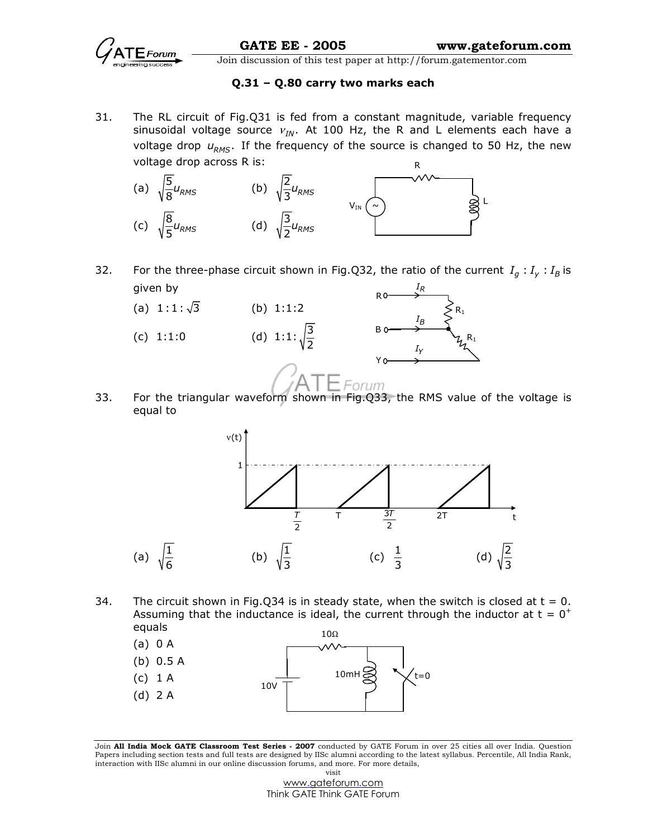

## Q.31 – Q.80 carry two marks each

31. The RL circuit of Fig.Q31 is fed from a constant magnitude, variable frequency sinusoidal voltage source  $v_{IN}$ . At 100 Hz, the R and L elements each have a voltage drop  $u_{RMS}$ . If the frequency of the source is changed to 50 Hz, the new voltage drop across R is:



32. For the three-phase circuit shown in Fig.Q32, the ratio of the current  $I_q: I_{\gamma}: I_B$  is given by IR



33. For the triangular waveform shown in Fig.Q33, the RMS value of the voltage is equal to



34. The circuit shown in Fig.Q34 is in steady state, when the switch is closed at  $t = 0$ . Assuming that the inductance is ideal, the current through the inductor at  $t = 0^+$ equals



Join All India Mock GATE Classroom Test Series - 2007 conducted by GATE Forum in over 25 cities all over India. Question Papers including section tests and full tests are designed by IISc alumni according to the latest syllabus. Percentile, All India Rank, interaction with IISc alumni in our online discussion forums, and more. For more details, visit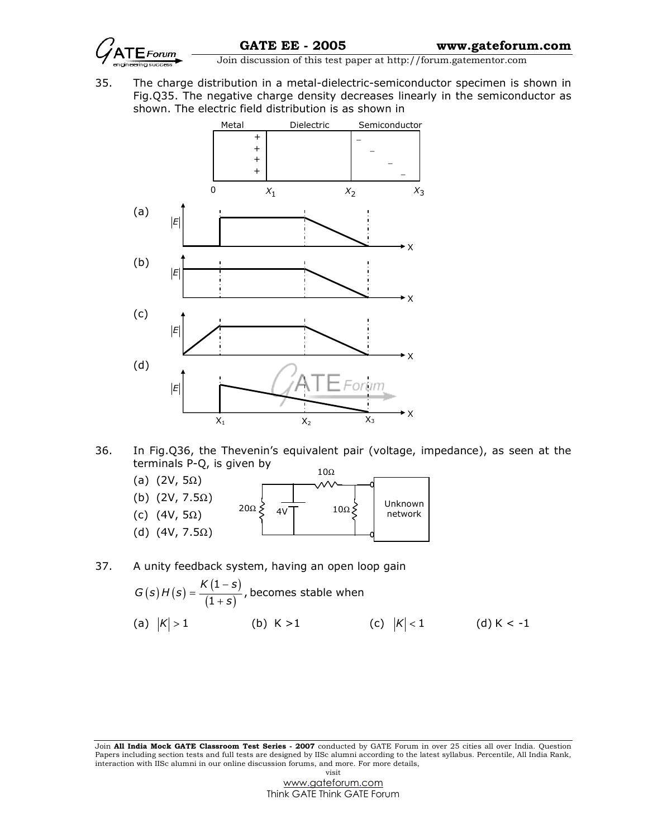

 $\frac{1}{\sqrt{1-\frac{1}{n}}}\sqrt{\frac{1}{n}}$  Join discussion of this test paper at http://forum.gatementor.com

35. The charge distribution in a metal-dielectric-semiconductor specimen is shown in Fig.Q35. The negative charge density decreases linearly in the semiconductor as shown. The electric field distribution is as shown in



36. In Fig.Q36, the Thevenin's equivalent pair (voltage, impedance), as seen at the terminals P-Q, is given by  $100$ 

| (a) $(2V, 5\Omega)$<br>(b) $(2V, 7.5\Omega)$<br>(c) $(4V, 5\Omega)$ | 1 U.S.Z<br>Unknown<br>$20\Omega$<br>$10\Omega$<br>4V<br>network |
|---------------------------------------------------------------------|-----------------------------------------------------------------|
| $(4V, 7.5\Omega)$<br>(d)                                            |                                                                 |

## 37. A unity feedback system, having an open loop gain

$$
G(s)H(s) = \frac{K(1-s)}{(1+s)}, \text{ becomes stable when}
$$
\n(a)  $|K| > 1$  (b)  $K > 1$  (c)  $|K| < 1$  (d)  $K < -1$ 

Join All India Mock GATE Classroom Test Series - 2007 conducted by GATE Forum in over 25 cities all over India. Question Papers including section tests and full tests are designed by IISc alumni according to the latest syllabus. Percentile, All India Rank, interaction with IISc alumni in our online discussion forums, and more. For more details, visit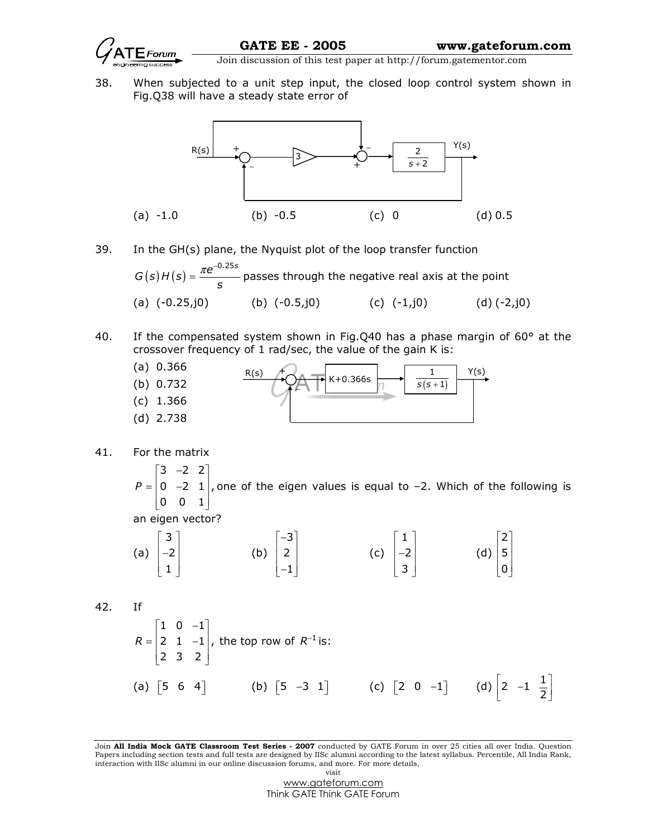

38. When subjected to a unit step input, the closed loop control system shown in Fig.Q38 will have a steady state error of



- 39. In the GH(s) plane, the Nyquist plot of the loop transfer function  $G(s)H(s) = \frac{\pi e^{-0.25s}}{s}$  $\pi e^{-}$  $=\frac{h^2}{2}$  passes through the negative real axis at the point (a)  $(-0.25, j0)$  (b)  $(-0.5, j0)$  (c)  $(-1, j0)$  (d)  $(-2, j0)$
- 40. If the compensated system shown in Fig.Q40 has a phase margin of  $60^{\circ}$  at the crossover frequency of 1 rad/sec, the value of the gain K is:



41. For the matrix

 $\begin{bmatrix} 3 & -2 & 2 \end{bmatrix}$  $P = \begin{bmatrix} 0 & -2 & 1 \end{bmatrix}$ , one of the eigen values is equal to –2. Which of the following is  $\begin{bmatrix} 0 & 0 & 1 \end{bmatrix}$ 

an eigen vector?

(a) 
$$
\begin{bmatrix} 3 \\ -2 \\ 1 \end{bmatrix}
$$
 (b)  $\begin{bmatrix} -3 \\ 2 \\ -1 \end{bmatrix}$  (c)  $\begin{bmatrix} 1 \\ -2 \\ 3 \end{bmatrix}$  (d)  $\begin{bmatrix} 2 \\ 5 \\ 0 \end{bmatrix}$ 

42. If

$$
R = \begin{bmatrix} 1 & 0 & -1 \\ 2 & 1 & -1 \\ 2 & 3 & 2 \end{bmatrix}
$$
, the top row of  $R^{-1}$  is:  
(a)  $\begin{bmatrix} 5 & 6 & 4 \end{bmatrix}$  (b)  $\begin{bmatrix} 5 & -3 & 1 \end{bmatrix}$  (c)  $\begin{bmatrix} 2 & 0 & -1 \end{bmatrix}$  (d)  $\begin{bmatrix} 2 & -1 & \frac{1}{2} \end{bmatrix}$ 

Join All India Mock GATE Classroom Test Series - 2007 conducted by GATE Forum in over 25 cities all over India. Question Papers including section tests and full tests are designed by IISc alumni according to the latest syllabus. Percentile, All India Rank, interaction with IISc alumni in our online discussion forums, and more. For more details, visit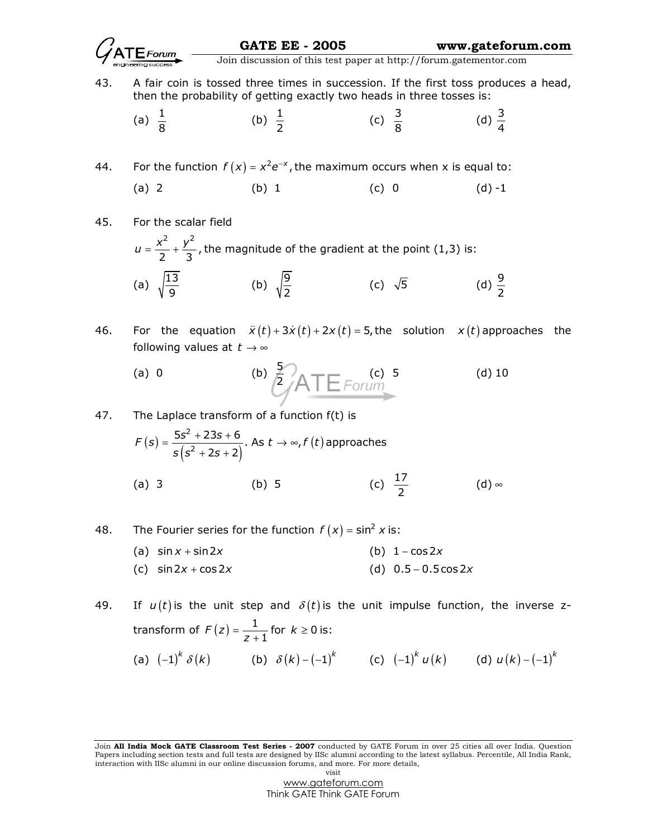

43. A fair coin is tossed three times in succession. If the first toss produces a head, then the probability of getting exactly two heads in three tosses is:

(a) 
$$
\frac{1}{8}
$$
 (b)  $\frac{1}{2}$  (c)  $\frac{3}{8}$  (d)  $\frac{3}{4}$ 

44. For the function  $f(x) = x^2 e^{-x}$ , the maximum occurs when x is equal to:

(a) 2 (b) 1 (c) 0 (d) -1

45. For the scalar field 2  $,2$  $\frac{1}{2} + \frac{y}{3}$  $u = \frac{x^2}{2} + \frac{y^2}{2}$ , the magnitude of the gradient at the point (1,3) is: (a)  $\sqrt{\frac{13}{9}}$  (b)  $\sqrt{\frac{9}{2}}$  (c)  $\sqrt{5}$  (d)  $\frac{9}{2}$ 

46. For the equation  $\ddot{x}(t) + 3\dot{x}(t) + 2x(t) = 5$ , the solution  $x(t)$  approaches the following values at  $t \to \infty$ 

(a) 0 (b) 
$$
\frac{5}{2}
$$
 A T E *Form* (c) 5 (d) 10

47. The Laplace transform of a function 
$$
f(t)
$$
 is

$$
F(s) = \frac{5s^2 + 23s + 6}{s(s^2 + 2s + 2)}
$$
. As  $t \to \infty$ ,  $f(t)$  approaches

(a) 3 (b) 5 (c)  $\frac{17}{2}$  (d)  $\infty$ 

48. The Fourier series for the function  $f(x) = \sin^2 x$  is:

(a) 
$$
\sin x + \sin 2x
$$
   
 (b)  $1 - \cos 2x$ 

(c)  $\sin 2x + \cos 2x$  (d)  $0.5 - 0.5 \cos 2x$ 

49. If  $u(t)$  is the unit step and  $\delta(t)$  is the unit impulse function, the inverse ztransform of  $F(z) = \frac{1}{z+1}$  for  $k \ge 0$  is: (a)  $\left( -1 \right)^{k} \delta \left( k \right)$  (b)  $\delta \left( k \right) - \left( -1 \right)^{k}$  (c)  $\left( -1 \right)^{k} u \left( k \right)$  (d)  $u \left( k \right) - \left( -1 \right)^{k}$ 

Join All India Mock GATE Classroom Test Series - 2007 conducted by GATE Forum in over 25 cities all over India. Question Papers including section tests and full tests are designed by IISc alumni according to the latest syllabus. Percentile, All India Rank, interaction with IISc alumni in our online discussion forums, and more. For more details, visit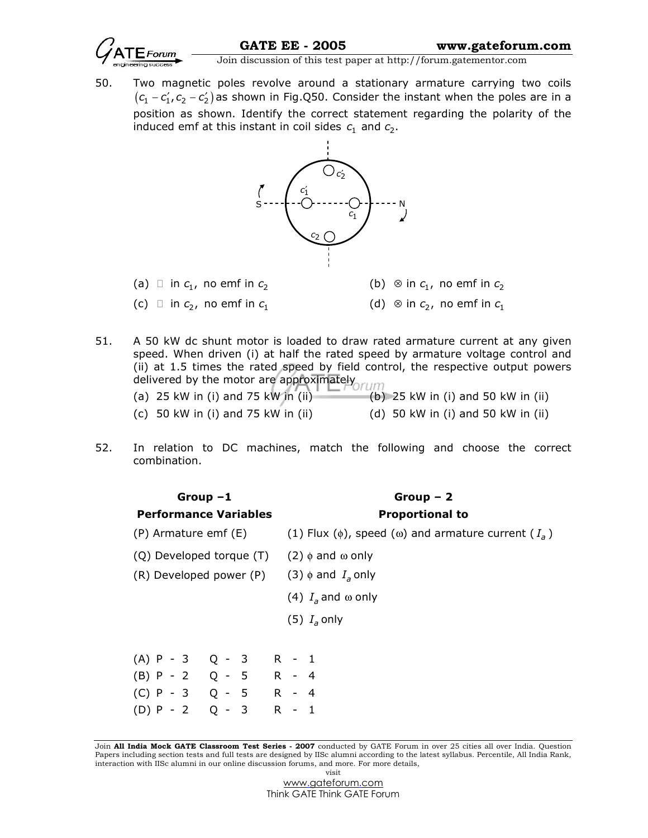

50. Two magnetic poles revolve around a stationary armature carrying two coils  $(c_1 - c_1, c_2 - c_2')$  as shown in Fig.Q50. Consider the instant when the poles are in a position as shown. Identify the correct statement regarding the polarity of the induced emf at this instant in coil sides  $c_1$  and  $c_2$ .



- (a) in  $c_1$ , no emf in  $c_2$  (b)  $\otimes$  in  $c_1$ , no emf in  $c_2$ (c) in  $c_2$ , no emf in  $c_1$  (d)  $\otimes$  in  $c_2$ , no emf in  $c_1$
- 51. A 50 kW dc shunt motor is loaded to draw rated armature current at any given speed. When driven (i) at half the rated speed by armature voltage control and (ii) at 1.5 times the rated speed by field control, the respective output powers delivered by the motor are approximately (a) 25 kW in (i) and 75 kW in (ii)  $\qquad$  (b) 25 kW in (i) and 50 kW in (ii)
	- (c) 50 kW in (i) and 75 kW in (ii)  $(d)$  50 kW in (i) and 50 kW in (ii)
- 52. In relation to DC machines, match the following and choose the correct combination.

| Group $-1$                                              |  |  |  |                        | $Group-2$                                                              |  |  |  |
|---------------------------------------------------------|--|--|--|------------------------|------------------------------------------------------------------------|--|--|--|
| <b>Performance Variables</b>                            |  |  |  | <b>Proportional to</b> |                                                                        |  |  |  |
| (P) Armature emf (E)                                    |  |  |  |                        | (1) Flux ( $\phi$ ), speed ( $\omega$ ) and armature current ( $I_a$ ) |  |  |  |
| (Q) Developed torque $(T)$ (2) $\phi$ and $\omega$ only |  |  |  |                        |                                                                        |  |  |  |
| (R) Developed power (P) (3) $\phi$ and $I_a$ only       |  |  |  |                        |                                                                        |  |  |  |
|                                                         |  |  |  |                        | (4) $I_a$ and $\omega$ only                                            |  |  |  |
|                                                         |  |  |  |                        | $(5) Ia$ only                                                          |  |  |  |
|                                                         |  |  |  |                        |                                                                        |  |  |  |
| $(A)$ P - 3 Q - 3                                       |  |  |  | $R - 1$                |                                                                        |  |  |  |
| $(B) P - 2 Q - 5 R - 4$                                 |  |  |  |                        |                                                                        |  |  |  |
| $(C) P - 3 Q - 5 R - 4$                                 |  |  |  |                        |                                                                        |  |  |  |
| $(D) P - 2 Q - 3$                                       |  |  |  | $R - 1$                |                                                                        |  |  |  |

Join All India Mock GATE Classroom Test Series - 2007 conducted by GATE Forum in over 25 cities all over India. Question Papers including section tests and full tests are designed by IISc alumni according to the latest syllabus. Percentile, All India Rank, interaction with IISc alumni in our online discussion forums, and more. For more details, visit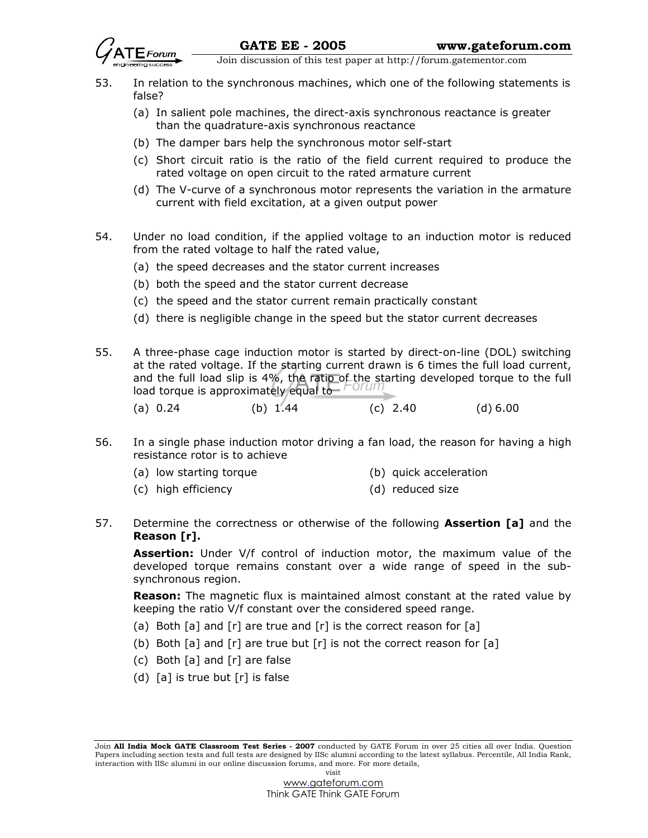- 53. In relation to the synchronous machines, which one of the following statements is false?
	- (a) In salient pole machines, the direct-axis synchronous reactance is greater than the quadrature-axis synchronous reactance
	- (b) The damper bars help the synchronous motor self-start
	- (c) Short circuit ratio is the ratio of the field current required to produce the rated voltage on open circuit to the rated armature current
	- (d) The V-curve of a synchronous motor represents the variation in the armature current with field excitation, at a given output power
- 54. Under no load condition, if the applied voltage to an induction motor is reduced from the rated voltage to half the rated value,
	- (a) the speed decreases and the stator current increases
	- (b) both the speed and the stator current decrease
	- (c) the speed and the stator current remain practically constant
	- (d) there is negligible change in the speed but the stator current decreases
- 55. A three-phase cage induction motor is started by direct-on-line (DOL) switching at the rated voltage. If the starting current drawn is 6 times the full load current, and the full load slip is 4%, the ratio of the starting developed torque to the full load torque is approximately equal to
	- (a)  $0.24$  (b)  $1.44$  (c)  $2.40$  (d)  $6.00$
- 56. In a single phase induction motor driving a fan load, the reason for having a high resistance rotor is to achieve
	- (a) low starting torque (b) quick acceleration
	- (c) high efficiency (d) reduced size
- 57. Determine the correctness or otherwise of the following **Assertion [a]** and the Reason [r].

Assertion: Under V/f control of induction motor, the maximum value of the developed torque remains constant over a wide range of speed in the subsynchronous region.

**Reason:** The magnetic flux is maintained almost constant at the rated value by keeping the ratio V/f constant over the considered speed range.

- (a) Both [a] and [r] are true and [r] is the correct reason for [a]
- (b) Both  $[a]$  and  $[r]$  are true but  $[r]$  is not the correct reason for  $[a]$
- (c) Both [a] and [r] are false
- (d)  $[a]$  is true but  $[r]$  is false

Join All India Mock GATE Classroom Test Series - 2007 conducted by GATE Forum in over 25 cities all over India. Question Papers including section tests and full tests are designed by IISc alumni according to the latest syllabus. Percentile, All India Rank, interaction with IISc alumni in our online discussion forums, and more. For more details, visit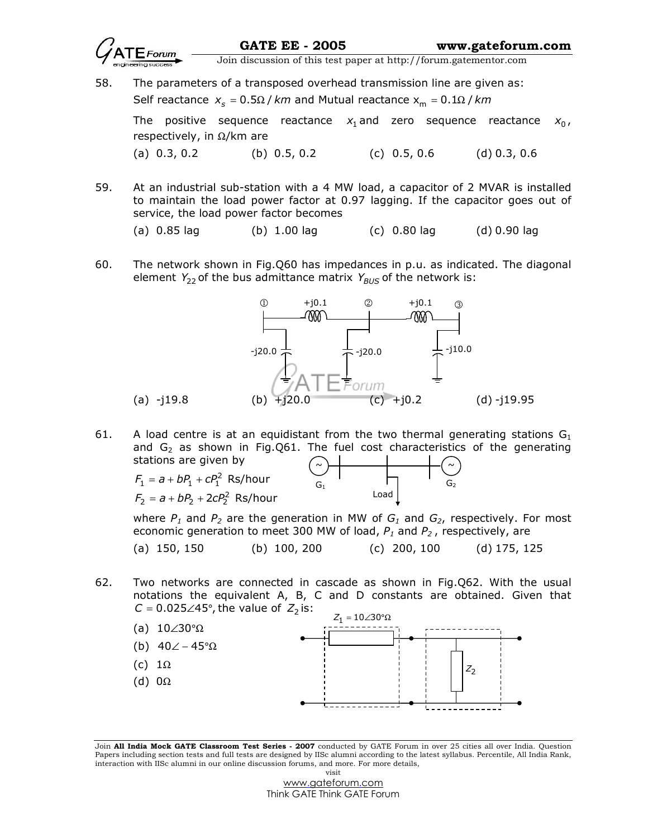

- 58. The parameters of a transposed overhead transmission line are given as: Self reactance  $x_s$  = 0.5 $\Omega$  / km and Mutual reactance  $x_m$  = 0.1 $\Omega$  / km The positive sequence reactance  $x_1$  and zero sequence reactance  $x_0$ , respectively, in  $\Omega$ /km are (a) 0.3, 0.2 (b) 0.5, 0.2 (c) 0.5, 0.6 (d) 0.3, 0.6
- 59. At an industrial sub-station with a 4 MW load, a capacitor of 2 MVAR is installed to maintain the load power factor at 0.97 lagging. If the capacitor goes out of service, the load power factor becomes
	- (a)  $0.85$  lag (b)  $1.00$  lag (c)  $0.80$  lag (d)  $0.90$  lag
- 60. The network shown in Fig.Q60 has impedances in p.u. as indicated. The diagonal element  $Y_{22}$  of the bus admittance matrix  $Y_{BUS}$  of the network is:



61. A load centre is at an equidistant from the two thermal generating stations  $G_1$ and  $G_2$  as shown in Fig.Q61. The fuel cost characteristics of the generating stations are given by  $F_1 = a + bP_1 + cP_1^2$  Rs/hour ~ ~

 $F_2 = a + bP_2 + 2cP_2^2$  Rs/hour

Load  $G_1$   $G_2$ 

where  $P_1$  and  $P_2$  are the generation in MW of  $G_1$  and  $G_2$ , respectively. For most economic generation to meet 300 MW of load,  $P_1$  and  $P_2$ , respectively, are

(a) 150, 150 (b) 100, 200 (c) 200, 100 (d) 175, 125

62. Two networks are connected in cascade as shown in Fig.Q62. With the usual notations the equivalent A, B, C and D constants are obtained. Given that  $C = 0.025\angle 45^\circ$ , the value of  $Z_2$  is:



Join All India Mock GATE Classroom Test Series - 2007 conducted by GATE Forum in over 25 cities all over India. Question Papers including section tests and full tests are designed by IISc alumni according to the latest syllabus. Percentile, All India Rank, interaction with IISc alumni in our online discussion forums, and more. For more details, visit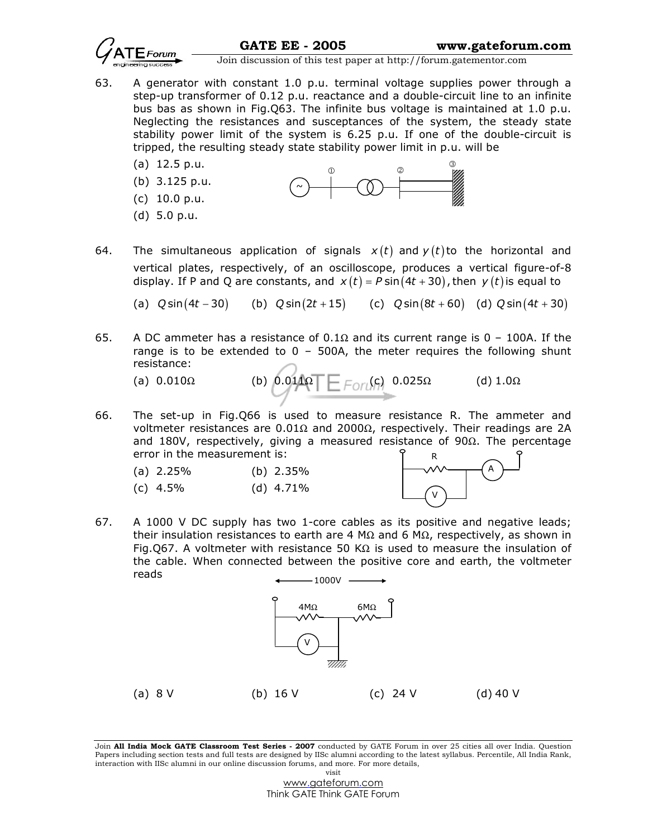

- 63. A generator with constant 1.0 p.u. terminal voltage supplies power through a step-up transformer of 0.12 p.u. reactance and a double-circuit line to an infinite bus bas as shown in Fig.Q63. The infinite bus voltage is maintained at 1.0 p.u. Neglecting the resistances and susceptances of the system, the steady state stability power limit of the system is 6.25 p.u. If one of the double-circuit is tripped, the resulting steady state stability power limit in p.u. will be
	- (a) 12.5 p.u.
	- (b) 3.125 p.u. (c) 10.0 p.u.

(d) 5.0 p.u.



64. The simultaneous application of signals  $x(t)$  and  $y(t)$  to the horizontal and vertical plates, respectively, of an oscilloscope, produces a vertical figure-of-8 display. If P and Q are constants, and  $x(t) = P \sin (4t + 30)$ , then  $y(t)$  is equal to

(a)  $Q \sin (4t - 30)$  (b)  $Q \sin (2t + 15)$  (c)  $Q \sin (8t + 60)$  (d)  $Q \sin (4t + 30)$ 

65. A DC ammeter has a resistance of  $0.1\Omega$  and its current range is 0 – 100A. If the range is to be extended to  $0 - 500$ A, the meter requires the following shunt resistance:

(a) 
$$
0.010\Omega
$$
 (b)  $0.011\Omega$   $\boxed{\qquad \qquad}$   $0.025\Omega$  (d)  $1.0\Omega$ 

66. The set-up in Fig.Q66 is used to measure resistance R. The ammeter and voltmeter resistances are  $0.01Ω$  and  $2000Ω$ , respectively. Their readings are 2A and 180V, respectively, giving a measured resistance of 90Ω. The percentage error in the measurement is:

| (a) $2.25\%$ | (b) $2.35\%$ |
|--------------|--------------|
|--------------|--------------|

(c) 4.5% (d) 4.71%



 $-1000V -$ 67. A 1000 V DC supply has two 1-core cables as its positive and negative leads; their insulation resistances to earth are 4 MΩ and 6 MΩ, respectively, as shown in Fig.Q67. A voltmeter with resistance 50 K $\Omega$  is used to measure the insulation of the cable. When connected between the positive core and earth, the voltmeter reads



Join All India Mock GATE Classroom Test Series - 2007 conducted by GATE Forum in over 25 cities all over India. Question Papers including section tests and full tests are designed by IISc alumni according to the latest syllabus. Percentile, All India Rank, interaction with IISc alumni in our online discussion forums, and more. For more details, visit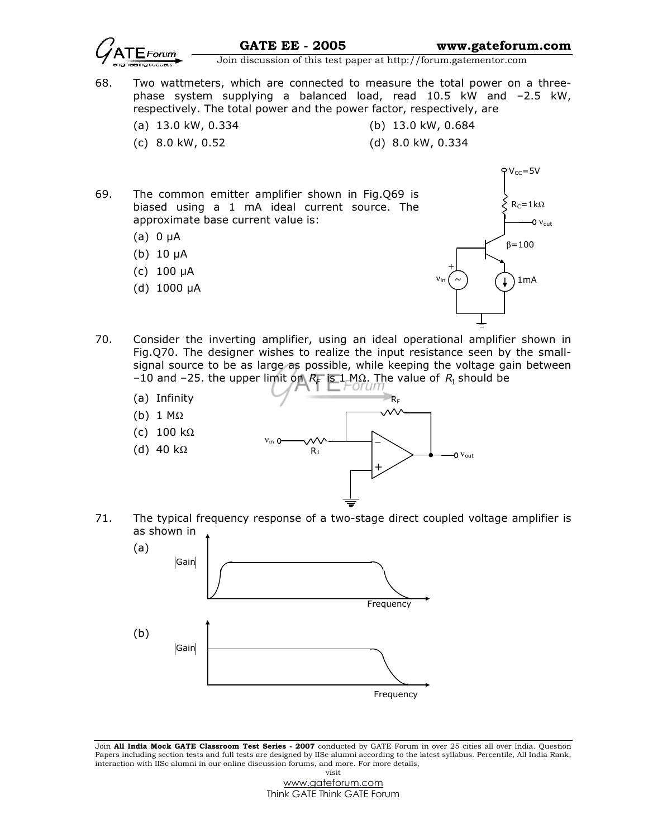

 $V_{CC}$ =5V

Join discussion of this test paper at http://forum.gatementor.com

- 68. Two wattmeters, which are connected to measure the total power on a threephase system supplying a balanced load, read 10.5 kW and –2.5 kW, respectively. The total power and the power factor, respectively, are
	- (a) 13.0 kW, 0.334 (b) 13.0 kW, 0.684
		- (c) 8.0 kW, 0.52 (d) 8.0 kW, 0.334
- 
- 69. The common emitter amplifier shown in Fig.Q69 is biased using a 1 mA ideal current source. The approximate base current value is:
	- (a)  $0 \mu A$
	- (b) 10 µA
	- (c) 100 µA
	- (d) 1000 µA



- 70. Consider the inverting amplifier, using an ideal operational amplifier shown in Fig.Q70. The designer wishes to realize the input resistance seen by the smallsignal source to be as large as possible, while keeping the voltage gain between  $-10$  and  $-25$ . the upper limit on  $R_F$  is 1 MΩ. The value of  $R_1$  should be
	- (a) Infinity
	- (b) 1 MΩ
	- (c) 100 kΩ
	- (d) 40 kΩ



71. The typical frequency response of a two-stage direct coupled voltage amplifier is as shown in



Join All India Mock GATE Classroom Test Series - 2007 conducted by GATE Forum in over 25 cities all over India. Question Papers including section tests and full tests are designed by IISc alumni according to the latest syllabus. Percentile, All India Rank, interaction with IISc alumni in our online discussion forums, and more. For more details, visit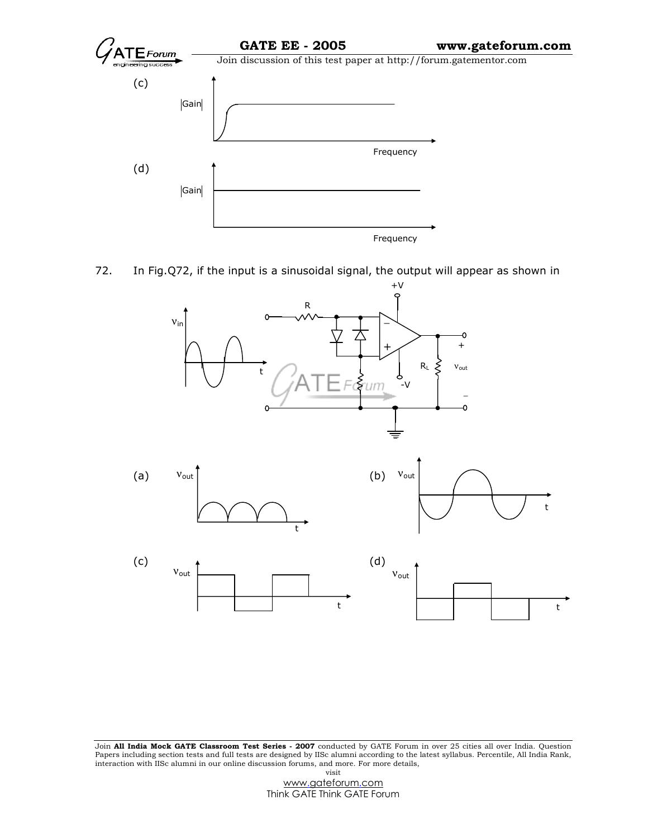

72. In Fig.Q72, if the input is a sinusoidal signal, the output will appear as shown in











Join All India Mock GATE Classroom Test Series - 2007 conducted by GATE Forum in over 25 cities all over India. Question Papers including section tests and full tests are designed by IISc alumni according to the latest syllabus. Percentile, All India Rank, interaction with IISc alumni in our online discussion forums, and more. For more details, visit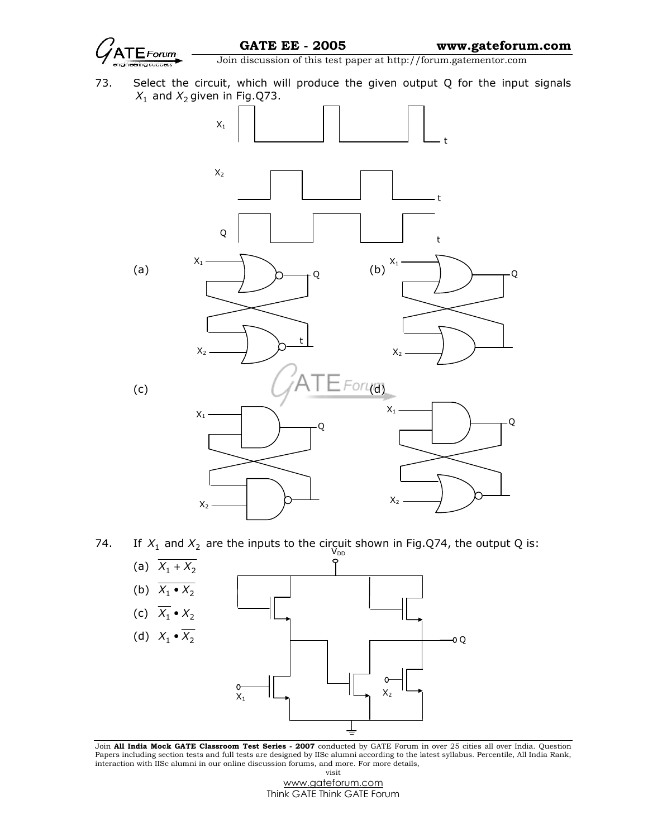

73. Select the circuit, which will produce the given output Q for the input signals  $X_1$  and  $X_2$ given in Fig.Q73.



74. If  $X_1$  and  $X_2$  are the inputs to the circuit shown in Fig.Q74, the output Q is:



Join All India Mock GATE Classroom Test Series - 2007 conducted by GATE Forum in over 25 cities all over India. Question Papers including section tests and full tests are designed by IISc alumni according to the latest syllabus. Percentile, All India Rank, interaction with IISc alumni in our online discussion forums, and more. For more details, visit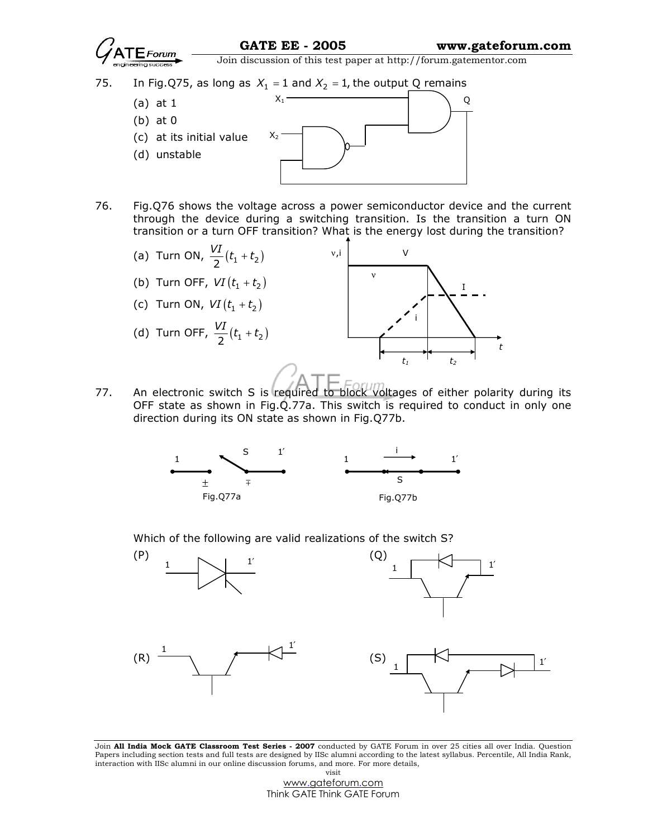

through the device during a switching transition. Is the transition a turn ON transition or a turn OFF transition? What is the energy lost during the transition?



77. An electronic switch S is required to block voltages of either polarity during its OFF state as shown in Fig.Q.77a. This switch is required to conduct in only one direction during its ON state as shown in Fig.Q77b.



Which of the following are valid realizations of the switch S?



Join All India Mock GATE Classroom Test Series - 2007 conducted by GATE Forum in over 25 cities all over India. Question Papers including section tests and full tests are designed by IISc alumni according to the latest syllabus. Percentile, All India Rank, interaction with IISc alumni in our online discussion forums, and more. For more details, visit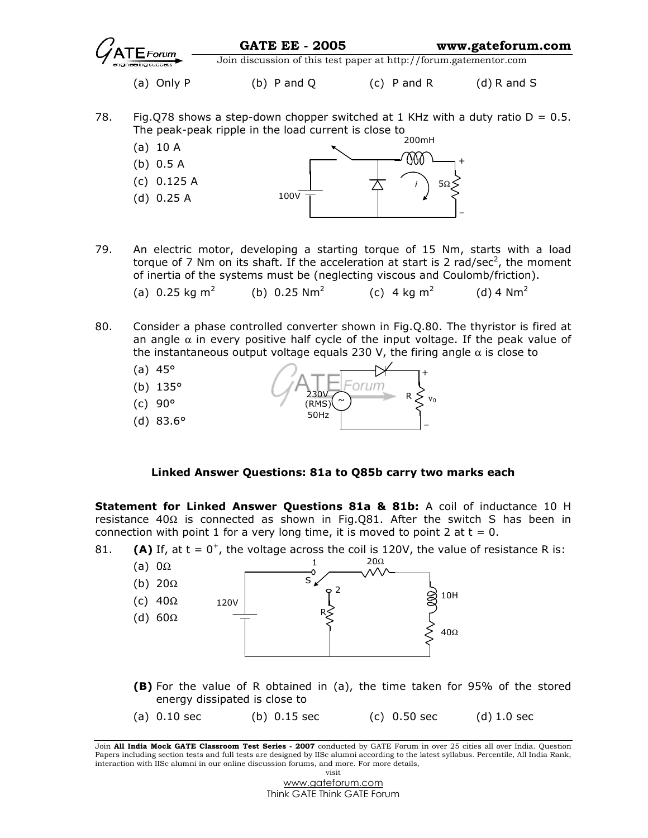

- 80. Consider a phase controlled converter shown in Fig.Q.80. The thyristor is fired at an angle  $\alpha$  in every positive half cycle of the input voltage. If the peak value of the instantaneous output voltage equals 230 V, the firing angle  $\alpha$  is close to
	- (a)  $45^{\circ}$  (b) 135° (c) 90° (d) 83.6° 50Hz R + −  $\sim$   $\sim$   $\sim$   $\sim$   $\sim$   $\sim$   $\sim$   $\sim$ 230V (RMS)

## Linked Answer Questions: 81a to Q85b carry two marks each

Statement for Linked Answer Questions 81a & 81b: A coil of inductance 10 H resistance 40 $\Omega$  is connected as shown in Fig.Q81. After the switch S has been in connection with point 1 for a very long time, it is moved to point 2 at  $t = 0$ .

81. **(A)** If, at  $t = 0^+$ , the voltage across the coil is 120V, the value of resistance R is: 20Ω 1 (a)  $0\Omega$ S (b) 20Ω Ó  $\overline{2}$ 10H (c) 40Ω 120V R (d) 60Ω 40Ω (B) For the value of R obtained in (a), the time taken for 95% of the stored energy dissipated is close to (a)  $0.10 \text{ sec}$  (b)  $0.15 \text{ sec}$  (c)  $0.50 \text{ sec}$  (d)  $1.0 \text{ sec}$ 

Join All India Mock GATE Classroom Test Series - 2007 conducted by GATE Forum in over 25 cities all over India. Question Papers including section tests and full tests are designed by IISc alumni according to the latest syllabus. Percentile, All India Rank, interaction with IISc alumni in our online discussion forums, and more. For more details,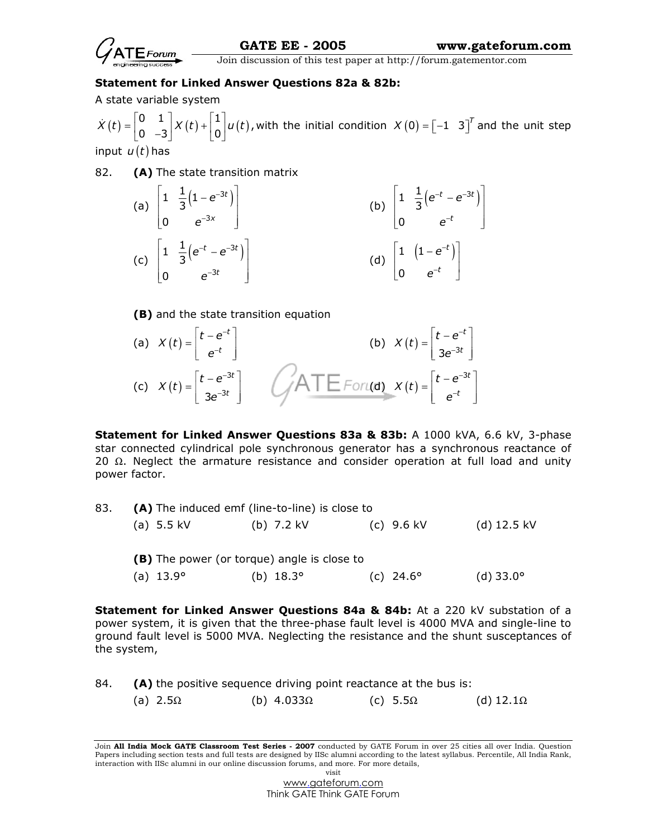

## Statement for Linked Answer Questions 82a & 82b:

A state variable system

 $\dot{X}(t) = \begin{bmatrix} 0 & 1 \\ 0 & -3 \end{bmatrix} X(t) + \begin{bmatrix} 1 \\ 0 \end{bmatrix} u(t)$  $\dot{X}(t) = \begin{bmatrix} 0 & 1 \ 0 & -3 \end{bmatrix} X(t) + \begin{bmatrix} 1 \ 0 \end{bmatrix} u(t)$ , with the initial condition  $X(0) = \begin{bmatrix} -1 & 3 \end{bmatrix}^T$  and the unit step input  $u(t)$  has

82. **(A)** The state transition matrix

(a) 
$$
\begin{bmatrix} 1 & \frac{1}{3}(1-e^{-3t}) \\ 0 & e^{-3x} \end{bmatrix}
$$
  
\n(b)  $\begin{bmatrix} 1 & \frac{1}{3}(e^{-t}-e^{-3t}) \\ 0 & e^{-t} \end{bmatrix}$   
\n(c)  $\begin{bmatrix} 1 & \frac{1}{3}(e^{-t}-e^{-3t}) \\ 0 & e^{-3t} \end{bmatrix}$   
\n(d)  $\begin{bmatrix} 1 & (1-e^{-t}) \\ 0 & e^{-t} \end{bmatrix}$ 

(B) and the state transition equation

(a) 
$$
X(t) = \begin{bmatrix} t - e^{-t} \ e^{-t} \end{bmatrix}
$$
  
\n(b)  $X(t) = \begin{bmatrix} t - e^{-t} \ 3e^{-3t} \end{bmatrix}$   
\n(c)  $X(t) = \begin{bmatrix} t - e^{-3t} \ 3e^{-3t} \end{bmatrix}$ 

Statement for Linked Answer Questions 83a & 83b: A 1000 kVA, 6.6 kV, 3-phase star connected cylindrical pole synchronous generator has a synchronous reactance of 20  $\Omega$ . Neglect the armature resistance and consider operation at full load and unity power factor.

| 83. | (A) The induced emf (line-to-line) is close to     |                  |                      |                    |  |  |  |  |  |
|-----|----------------------------------------------------|------------------|----------------------|--------------------|--|--|--|--|--|
|     | (a) $5.5$ kV                                       | (b) $7.2$ kV     | (c) $9.6 \text{ kV}$ | $(d)$ 12.5 kV      |  |  |  |  |  |
|     | <b>(B)</b> The power (or torque) angle is close to |                  |                      |                    |  |  |  |  |  |
|     | (a) $13.9^\circ$                                   | (b) $18.3^\circ$ | (c) $24.6^\circ$     | (d) $33.0^{\circ}$ |  |  |  |  |  |

Statement for Linked Answer Questions 84a & 84b: At a 220 kV substation of a power system, it is given that the three-phase fault level is 4000 MVA and single-line to ground fault level is 5000 MVA. Neglecting the resistance and the shunt susceptances of the system,

```
84. (A) the positive sequence driving point reactance at the bus is:
(a) 2.5Ω (b) 4.033Ω (c) 5.5Ω (d) 12.1Ω
```
Join All India Mock GATE Classroom Test Series - 2007 conducted by GATE Forum in over 25 cities all over India. Question Papers including section tests and full tests are designed by IISc alumni according to the latest syllabus. Percentile, All India Rank, interaction with IISc alumni in our online discussion forums, and more. For more details, visit